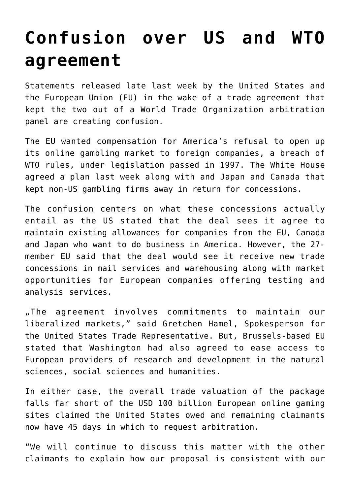## **[Confusion over US and WTO](https://www.isa-guide.de/english-news/articles/19078.html) [agreement](https://www.isa-guide.de/english-news/articles/19078.html)**

Statements released late last week by the United States and the European Union (EU) in the wake of a trade agreement that kept the two out of a World Trade Organization arbitration panel are creating confusion.

The EU wanted compensation for America's refusal to open up its online gambling market to foreign companies, a breach of WTO rules, under legislation passed in 1997. The White House agreed a plan last week along with and Japan and Canada that kept non-US gambling firms away in return for concessions.

The confusion centers on what these concessions actually entail as the US stated that the deal sees it agree to maintain existing allowances for companies from the EU, Canada and Japan who want to do business in America. However, the 27 member EU said that the deal would see it receive new trade concessions in mail services and warehousing along with market opportunities for European companies offering testing and analysis services.

"The agreement involves commitments to maintain our liberalized markets," said Gretchen Hamel, Spokesperson for the United States Trade Representative. But, Brussels-based EU stated that Washington had also agreed to ease access to European providers of research and development in the natural sciences, social sciences and humanities.

In either case, the overall trade valuation of the package falls far short of the USD 100 billion European online gaming sites claimed the United States owed and remaining claimants now have 45 days in which to request arbitration.

"We will continue to discuss this matter with the other claimants to explain how our proposal is consistent with our